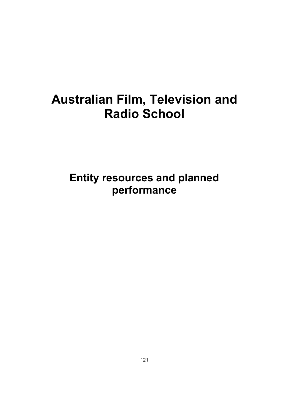# **Australian Film, Television and Radio School**

**Entity resources and planned performance**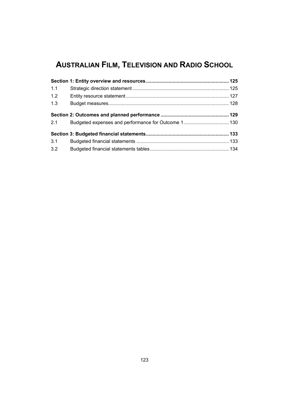## **AUSTRALIAN FILM, TELEVISION AND RADIO SCHOOL**

| 1.1 |  |
|-----|--|
| 1.2 |  |
| 1.3 |  |
|     |  |
| 2.1 |  |
|     |  |
| 3.1 |  |
| 3.2 |  |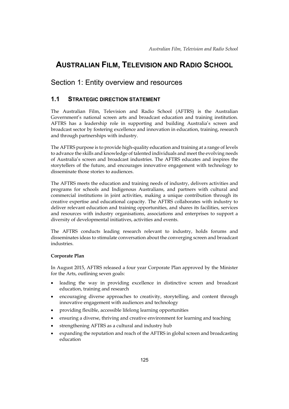## **AUSTRALIAN FILM, TELEVISION AND RADIO SCHOOL**

## Section 1: Entity overview and resources

## **1.1 STRATEGIC DIRECTION STATEMENT**

The Australian Film, Television and Radio School (AFTRS) is the Australian Government's national screen arts and broadcast education and training institution. AFTRS has a leadership role in supporting and building Australia's screen and broadcast sector by fostering excellence and innovation in education, training, research and through partnerships with industry.

The AFTRS purpose is to provide high-quality education and training at a range of levels to advance the skills and knowledge of talented individuals and meet the evolving needs of Australia's screen and broadcast industries. The AFTRS educates and inspires the storytellers of the future, and encourages innovative engagement with technology to disseminate those stories to audiences.

The AFTRS meets the education and training needs of industry, delivers activities and programs for schools and Indigenous Australians, and partners with cultural and commercial institutions in joint activities, making a unique contribution through its creative expertise and educational capacity. The AFTRS collaborates with industry to deliver relevant education and training opportunities, and shares its facilities, services and resources with industry organisations, associations and enterprises to support a diversity of developmental initiatives, activities and events.

The AFTRS conducts leading research relevant to industry, holds forums and disseminates ideas to stimulate conversation about the converging screen and broadcast industries.

#### **Corporate Plan**

In August 2015, AFTRS released a four year Corporate Plan approved by the Minister for the Arts, outlining seven goals:

- leading the way in providing excellence in distinctive screen and broadcast education, training and research
- encouraging diverse approaches to creativity, storytelling, and content through innovative engagement with audiences and technology
- providing flexible, accessible lifelong learning opportunities
- ensuring a diverse, thriving and creative environment for learning and teaching
- strengthening AFTRS as a cultural and industry hub
- expanding the reputation and reach of the AFTRS in global screen and broadcasting education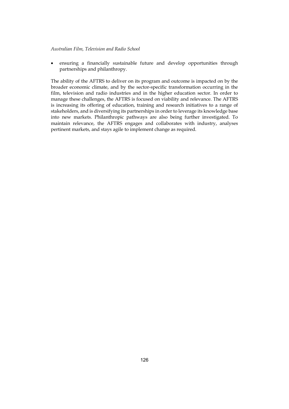#### *Australian Film, Television and Radio School*

 ensuring a financially sustainable future and develop opportunities through partnerships and philanthropy.

The ability of the AFTRS to deliver on its program and outcome is impacted on by the broader economic climate, and by the sector-specific transformation occurring in the film, television and radio industries and in the higher education sector. In order to manage these challenges, the AFTRS is focused on viability and relevance. The AFTRS is increasing its offering of education, training and research initiatives to a range of stakeholders, and is diversifying its partnerships in order to leverage its knowledge base into new markets. Philanthropic pathways are also being further investigated. To maintain relevance, the AFTRS engages and collaborates with industry, analyses pertinent markets, and stays agile to implement change as required.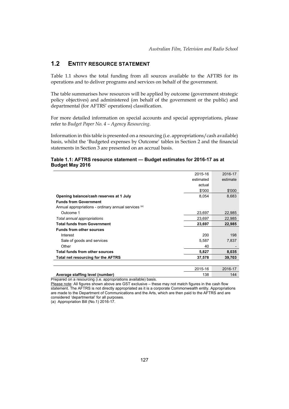## **1.2 ENTITY RESOURCE STATEMENT**

Table 1.1 shows the total funding from all sources available to the AFTRS for its operations and to deliver programs and services on behalf of the government.

The table summarises how resources will be applied by outcome (government strategic policy objectives) and administered (on behalf of the government or the public) and departmental (for AFTRS' operations) classification.

For more detailed information on special accounts and special appropriations, please refer to *Budget Paper No. 4 – Agency Resourcing*.

Information in this table is presented on a resourcing (i.e. appropriations/cash available) basis, whilst the 'Budgeted expenses by Outcome' tables in Section 2 and the financial statements in Section 3 are presented on an accrual basis.

#### **Table 1.1: AFTRS resource statement — Budget estimates for 2016-17 as at Budget May 2016**

|                                                      | 2015-16   | 2016-17  |
|------------------------------------------------------|-----------|----------|
|                                                      | estimated | estimate |
|                                                      | actual    |          |
|                                                      | \$'000    | \$'000   |
| Opening balance/cash reserves at 1 July              | 8,054     | 8,683    |
| <b>Funds from Government</b>                         |           |          |
| Annual appropriations - ordinary annual services (a) |           |          |
| Outcome 1                                            | 23,697    | 22,985   |
| Total annual appropriations                          | 23,697    | 22,985   |
| <b>Total funds from Government</b>                   | 23,697    | 22,985   |
| <b>Funds from other sources</b>                      |           |          |
| Interest                                             | 200       | 198      |
| Sale of goods and services                           | 5,587     | 7,837    |
| Other                                                | 40        |          |
| Total funds from other sources                       | 5,827     | 8,035    |
| Total net resourcing for the AFTRS                   | 37,578    | 39,703   |
|                                                      |           |          |
|                                                      | 2015-16   | 2016-17  |
| Average staffing level (number)                      | 138       | 144      |

Prepared on a resourcing (i.e. appropriations available) basis.

Please note: All figures shown above are GST exclusive – these may not match figures in the cash flow statement. The AFTRS is not directly appropriated as it is a corporate Commonwealth entity. Appropriations are made to the Department of Communications and the Arts, which are then paid to the AFTRS and are considered 'departmental' for all purposes.

(a) Appropriation Bill (No.1) 2016-17.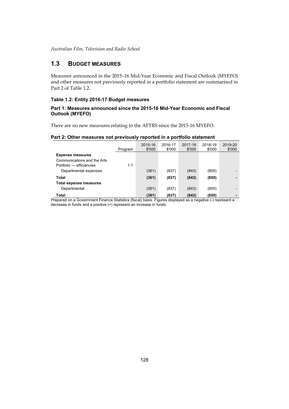*Australian Film, Television and Radio School* 

## **1.3 BUDGET MEASURES**

Measures announced in the 2015–16 Mid-Year Economic and Fiscal Outlook (MYEFO) and other measures not previously reported in a portfolio statement are summarised in Part 2 of Table 1.2.

#### **Table 1.2: Entity 2016-17 Budget measures**

#### **Part 1: Measures announced since the 2015-16 Mid-Year Economic and Fiscal Outlook (MYEFO)**

There are no new measures relating to the AFTRS since the 2015-16 MYEFO.

#### **Part 2: Other measures not previously reported in a portfolio statement**

|                             | Program | 2015-16<br>\$'000 | 2016-17<br>\$'000 | 2017-18<br>\$'000 | 2018-19<br>\$'000 | 2019-20<br>\$'000        |
|-----------------------------|---------|-------------------|-------------------|-------------------|-------------------|--------------------------|
| <b>Expense measures</b>     |         |                   |                   |                   |                   |                          |
| Communications and the Arts |         |                   |                   |                   |                   |                          |
| Portfolio — efficiencies    | 1.1     |                   |                   |                   |                   |                          |
| Departmental expenses       |         | (361)             | (837)             | (843)             | (850)             | -                        |
| Total                       |         | (361)             | (837)             | (843)             | (850)             |                          |
| Total expense measures      |         |                   |                   |                   |                   |                          |
| Departmental                |         | (361)             | (837)             | (843)             | (850)             | $\overline{\phantom{0}}$ |
| Total                       |         | (361)             | (837)             | (843)             | (850)             |                          |

Prepared on a Government Finance Statistics (fiscal) basis. Figures displayed as a negative (-) represent a decrease in funds and a positive (+) represent an increase in funds.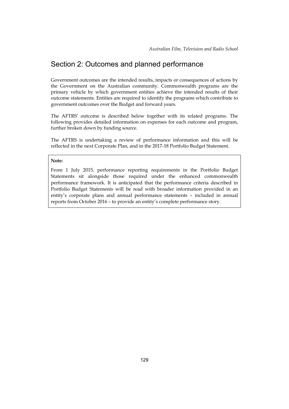## Section 2: Outcomes and planned performance

Government outcomes are the intended results, impacts or consequences of actions by the Government on the Australian community. Commonwealth programs are the primary vehicle by which government entities achieve the intended results of their outcome statements. Entities are required to identify the programs which contribute to government outcomes over the Budget and forward years.

The AFTRS' outcome is described below together with its related programs. The following provides detailed information on expenses for each outcome and program, further broken down by funding source.

The AFTRS is undertaking a review of performance information and this will be reflected in the next Corporate Plan, and in the 2017-18 Portfolio Budget Statement.

#### **Note:**

From 1 July 2015, performance reporting requirements in the Portfolio Budget Statements sit alongside those required under the enhanced commonwealth performance framework. It is anticipated that the performance criteria described in Portfolio Budget Statements will be read with broader information provided in an entity's corporate plans and annual performance statements – included in annual reports from October 2016 – to provide an entity's complete performance story.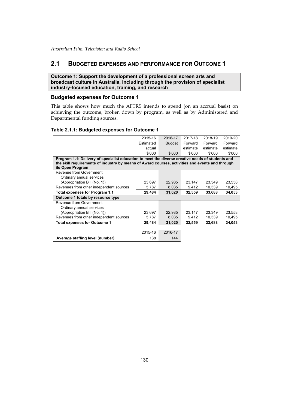### **2.1 BUDGETED EXPENSES AND PERFORMANCE FOR OUTCOME 1**

**Outcome 1: Support the development of a professional screen arts and broadcast culture in Australia, including through the provision of specialist industry-focused education, training, and research** 

#### **Budgeted expenses for Outcome 1**

This table shows how much the AFTRS intends to spend (on an accrual basis) on achieving the outcome, broken down by program, as well as by Administered and Departmental funding sources.

#### **Table 2.1.1: Budgeted expenses for Outcome 1**

|                                                                                                  | 2015-16   | 2016-17       | 2017-18  | 2018-19  | 2019-20  |
|--------------------------------------------------------------------------------------------------|-----------|---------------|----------|----------|----------|
|                                                                                                  | Estimated | <b>Budget</b> | Forward  | Forward  | Forward  |
|                                                                                                  | actual    |               | estimate | estimate | estimate |
|                                                                                                  | \$'000    | \$'000        | \$'000   | \$'000   | \$'000   |
| Program 1.1: Delivery of specialist education to meet the diverse creative needs of students and |           |               |          |          |          |
| the skill requirements of industry by means of Award courses, activities and events and through  |           |               |          |          |          |
| its Open Program                                                                                 |           |               |          |          |          |
| Revenue from Government                                                                          |           |               |          |          |          |
| Ordinary annual services                                                                         |           |               |          |          |          |
| (Appropriation Bill (No. 1))                                                                     | 23.697    | 22,985        | 23,147   | 23,349   | 23,558   |
| Revenues from other independent sources                                                          | 5,787     | 8,035         | 9,412    | 10,339   | 10,495   |
| Total expenses for Program 1.1                                                                   | 29,484    | 31,020        | 32,559   | 33,688   | 34,053   |
| Outcome 1 totals by resource type                                                                |           |               |          |          |          |
| Revenue from Government                                                                          |           |               |          |          |          |
| Ordinary annual services                                                                         |           |               |          |          |          |
| (Appropriation Bill (No. 1))                                                                     | 23,697    | 22,985        | 23,147   | 23,349   | 23,558   |
| Revenues from other independent sources                                                          | 5,787     | 8,035         | 9,412    | 10,339   | 10,495   |
| <b>Total expenses for Outcome 1</b>                                                              | 29,484    | 31,020        | 32,559   | 33,688   | 34,053   |
|                                                                                                  |           |               |          |          |          |
|                                                                                                  | 2015-16   | 2016-17       |          |          |          |
| Average staffing level (number)                                                                  | 138       | 144           |          |          |          |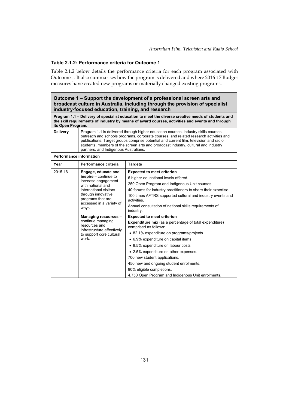#### **Table 2.1.2: Performance criteria for Outcome 1**

Table 2.1.2 below details the performance criteria for each program associated with Outcome 1. It also summarises how the program is delivered and where 2016-17 Budget measures have created new programs or materially changed existing programs.

| Outcome 1 – Support the development of a professional screen arts and<br>broadcast culture in Australia, including through the provision of specialist<br>industry-focused education, training, and research                                                                                                                                                                                                            |                                                                                                                                                                                                      |                                                                                                                                                                                                                                                                                                                                                                                                                                                              |  |  |  |
|-------------------------------------------------------------------------------------------------------------------------------------------------------------------------------------------------------------------------------------------------------------------------------------------------------------------------------------------------------------------------------------------------------------------------|------------------------------------------------------------------------------------------------------------------------------------------------------------------------------------------------------|--------------------------------------------------------------------------------------------------------------------------------------------------------------------------------------------------------------------------------------------------------------------------------------------------------------------------------------------------------------------------------------------------------------------------------------------------------------|--|--|--|
| its Open Program.                                                                                                                                                                                                                                                                                                                                                                                                       |                                                                                                                                                                                                      | Program 1.1 – Delivery of specialist education to meet the diverse creative needs of students and<br>the skill requirements of industry by means of award courses, activities and events and through                                                                                                                                                                                                                                                         |  |  |  |
| <b>Delivery</b><br>Program 1.1 is delivered through higher education courses, industry skills courses,<br>outreach and schools programs, corporate courses, and related research activities and<br>publications. Target groups comprise potential and current film, television and radio<br>students, members of the screen arts and broadcast industry, cultural and industry<br>partners, and Indigenous Australians. |                                                                                                                                                                                                      |                                                                                                                                                                                                                                                                                                                                                                                                                                                              |  |  |  |
| <b>Performance information</b>                                                                                                                                                                                                                                                                                                                                                                                          |                                                                                                                                                                                                      |                                                                                                                                                                                                                                                                                                                                                                                                                                                              |  |  |  |
| Year                                                                                                                                                                                                                                                                                                                                                                                                                    | Performance criteria                                                                                                                                                                                 | <b>Targets</b>                                                                                                                                                                                                                                                                                                                                                                                                                                               |  |  |  |
| 2015-16                                                                                                                                                                                                                                                                                                                                                                                                                 | Engage, educate and<br>$inspire$ – continue to<br>increase engagement<br>with national and<br>international visitors<br>through innovative<br>programs that are<br>accessed in a variety of<br>ways. | <b>Expected to meet criterion</b><br>6 higher educational levels offered.<br>250 Open Program and Indigenous Unit courses.<br>40 forums for industry practitioners to share their expertise.<br>100 times AFTRS supported cultural and industry events and<br>activities.<br>Annual consultation of national skills requirements of<br>industry.                                                                                                             |  |  |  |
|                                                                                                                                                                                                                                                                                                                                                                                                                         | Managing resources -<br>continue managing<br>resources and<br>infrastructure effectively<br>to support core cultural<br>work.                                                                        | <b>Expected to meet criterion</b><br><b>Expenditure mix</b> (as a percentage of total expenditure)<br>comprised as follows:<br>• 82.1% expenditure on programs/projects<br>• 6.9% expenditure on capital items<br>• 8.5% expenditure on labour costs<br>• 2.5% expenditure on other expenses.<br>700 new student applications.<br>450 new and ongoing student enrolments.<br>90% eligible completions.<br>4,750 Open Program and Indigenous Unit enrolments. |  |  |  |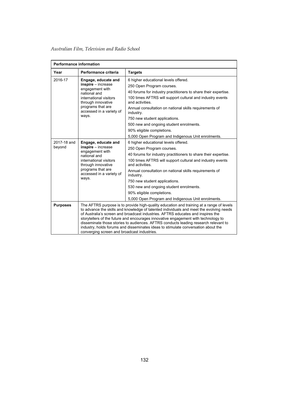*Australian Film, Television and Radio School* 

|                 | <b>Performance information</b>                          |                                                                                                                                                                                                                                                                                                                                                                                                                                                                                                                                                                                         |  |  |  |  |
|-----------------|---------------------------------------------------------|-----------------------------------------------------------------------------------------------------------------------------------------------------------------------------------------------------------------------------------------------------------------------------------------------------------------------------------------------------------------------------------------------------------------------------------------------------------------------------------------------------------------------------------------------------------------------------------------|--|--|--|--|
| Year            | Performance criteria                                    | <b>Targets</b>                                                                                                                                                                                                                                                                                                                                                                                                                                                                                                                                                                          |  |  |  |  |
| 2016-17         | Engage, educate and                                     | 6 higher educational levels offered.                                                                                                                                                                                                                                                                                                                                                                                                                                                                                                                                                    |  |  |  |  |
|                 | $inspire - increase$<br>engagement with                 | 250 Open Program courses.                                                                                                                                                                                                                                                                                                                                                                                                                                                                                                                                                               |  |  |  |  |
|                 | national and                                            | 40 forums for industry practitioners to share their expertise.                                                                                                                                                                                                                                                                                                                                                                                                                                                                                                                          |  |  |  |  |
|                 | international visitors<br>through innovative            | 100 times AFTRS will support cultural and industry events<br>and activities.                                                                                                                                                                                                                                                                                                                                                                                                                                                                                                            |  |  |  |  |
|                 | programs that are<br>accessed in a variety of           | Annual consultation on national skills requirements of<br>industry.                                                                                                                                                                                                                                                                                                                                                                                                                                                                                                                     |  |  |  |  |
|                 | ways.                                                   | 750 new student applications.                                                                                                                                                                                                                                                                                                                                                                                                                                                                                                                                                           |  |  |  |  |
|                 |                                                         | 500 new and ongoing student enrolments.                                                                                                                                                                                                                                                                                                                                                                                                                                                                                                                                                 |  |  |  |  |
|                 |                                                         | 90% eligible completions.                                                                                                                                                                                                                                                                                                                                                                                                                                                                                                                                                               |  |  |  |  |
|                 |                                                         | 5,000 Open Program and Indigenous Unit enrolments.                                                                                                                                                                                                                                                                                                                                                                                                                                                                                                                                      |  |  |  |  |
| 2017-18 and     | Engage, educate and                                     | 6 higher educational levels offered.                                                                                                                                                                                                                                                                                                                                                                                                                                                                                                                                                    |  |  |  |  |
| beyond          | $inspire - increase$<br>engagement with<br>national and | 250 Open Program courses.                                                                                                                                                                                                                                                                                                                                                                                                                                                                                                                                                               |  |  |  |  |
|                 |                                                         | 40 forums for industry practitioners to share their expertise.                                                                                                                                                                                                                                                                                                                                                                                                                                                                                                                          |  |  |  |  |
|                 | international visitors<br>through innovative            | 100 times AFTRS will support cultural and industry events<br>and activities.                                                                                                                                                                                                                                                                                                                                                                                                                                                                                                            |  |  |  |  |
|                 | programs that are<br>accessed in a variety of           | Annual consultation on national skills requirements of<br>industry.                                                                                                                                                                                                                                                                                                                                                                                                                                                                                                                     |  |  |  |  |
|                 | ways.                                                   | 750 new student applications.                                                                                                                                                                                                                                                                                                                                                                                                                                                                                                                                                           |  |  |  |  |
|                 |                                                         | 530 new and ongoing student enrolments.                                                                                                                                                                                                                                                                                                                                                                                                                                                                                                                                                 |  |  |  |  |
|                 |                                                         | 90% eligible completions.                                                                                                                                                                                                                                                                                                                                                                                                                                                                                                                                                               |  |  |  |  |
|                 |                                                         | 5,000 Open Program and Indigenous Unit enrolments.                                                                                                                                                                                                                                                                                                                                                                                                                                                                                                                                      |  |  |  |  |
| <b>Purposes</b> |                                                         | The AFTRS purpose is to provide high-quality education and training at a range of levels<br>to advance the skills and knowledge of talented individuals and meet the evolving needs<br>of Australia's screen and broadcast industries. AFTRS educates and inspires the<br>storytellers of the future and encourages innovative engagement with technology to<br>disseminate those stories to audiences. AFTRS conducts leading research relevant to<br>industry, holds forums and disseminates ideas to stimulate conversation about the<br>converging screen and broadcast industries. |  |  |  |  |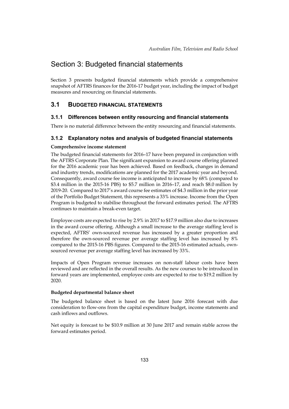## Section 3: Budgeted financial statements

Section 3 presents budgeted financial statements which provide a comprehensive snapshot of AFTRS finances for the 2016-17 budget year, including the impact of budget measures and resourcing on financial statements.

#### **3.1 BUDGETED FINANCIAL STATEMENTS**

#### **3.1.1 Differences between entity resourcing and financial statements**

There is no material difference between the entity resourcing and financial statements.

#### **3.1.2 Explanatory notes and analysis of budgeted financial statements**

#### **Comprehensive income statement**

The budgeted financial statements for 2016–17 have been prepared in conjunction with the AFTRS Corporate Plan. The significant expansion to award course offering planned for the 2016 academic year has been achieved. Based on feedback, changes in demand and industry trends, modifications are planned for the 2017 academic year and beyond. Consequently, award course fee income is anticipated to increase by 68% (compared to \$3.4 million in the 2015-16 PBS) to \$5.7 million in 2016–17, and reach \$8.0 million by 2019-20. Compared to 2017's award course fee estimates of \$4.3 million in the prior year of the Portfolio Budget Statement, this represents a 33% increase. Income from the Open Program is budgeted to stabilise throughout the forward estimates period. The AFTRS continues to maintain a break-even target.

Employee costs are expected to rise by 2.9% in 2017 to \$17.9 million also due to increases in the award course offering. Although a small increase to the average staffing level is expected, AFTRS' own-sourced revenue has increased by a greater proportion and therefore the own-sourced revenue per average staffing level has increased by 8% compared to the 2015-16 PBS figures. Compared to the 2015-16 estimated actuals, ownsourced revenue per average staffing level has increased by 33%.

Impacts of Open Program revenue increases on non-staff labour costs have been reviewed and are reflected in the overall results. As the new courses to be introduced in forward years are implemented, employee costs are expected to rise to \$19.2 million by 2020.

#### **Budgeted departmental balance sheet**

The budgeted balance sheet is based on the latest June 2016 forecast with due consideration to flow-ons from the capital expenditure budget, income statements and cash inflows and outflows.

Net equity is forecast to be \$10.9 million at 30 June 2017 and remain stable across the forward estimates period.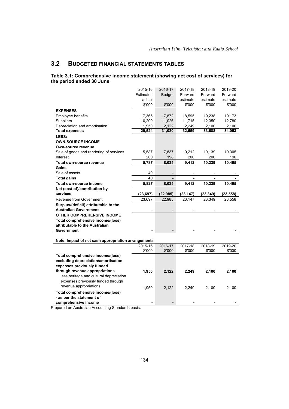## **3.2 BUDGETED FINANCIAL STATEMENTS TABLES**

#### **Table 3.1: Comprehensive income statement (showing net cost of services) for the period ended 30 June**

|                                                     | 2015-16   | 2016-17                      | 2017-18        | 2018-19        | 2019-20   |
|-----------------------------------------------------|-----------|------------------------------|----------------|----------------|-----------|
|                                                     | Estimated | <b>Budget</b>                | Forward        | Forward        | Forward   |
|                                                     | actual    |                              | estimate       | estimate       | estimate  |
|                                                     | \$'000    | \$'000                       | \$'000         | \$'000         | \$'000    |
| <b>EXPENSES</b>                                     |           |                              |                |                |           |
| Employee benefits                                   | 17,365    | 17,872                       | 18,595         | 19,238         | 19,173    |
| Suppliers                                           | 10,209    | 11,026                       | 11,715         | 12,350         | 12,780    |
| Depreciation and amortisation                       | 1,950     | 2,122                        | 2,249          | 2,100          | 2,100     |
| <b>Total expenses</b>                               | 29,524    | 31,020                       | 32,559         | 33,688         | 34,053    |
| LESS:                                               |           |                              |                |                |           |
| <b>OWN-SOURCE INCOME</b>                            |           |                              |                |                |           |
| Own-source revenue                                  |           |                              |                |                |           |
| Sale of goods and rendering of services             | 5,587     | 7,837                        | 9,212          | 10,139         | 10,305    |
| Interest                                            | 200       | 198                          | 200            | 200            | 190       |
| Total own-source revenue                            | 5,787     | 8,035                        | 9,412          | 10,339         | 10,495    |
| Gains                                               |           |                              |                |                |           |
| Sale of assets                                      | 40        |                              |                |                |           |
| <b>Total gains</b>                                  | 40        | $\qquad \qquad \blacksquare$ | $\blacksquare$ | $\blacksquare$ |           |
| Total own-source income                             | 5,827     | 8,035                        | 9,412          | 10,339         | 10,495    |
| Net (cost of)/contribution by                       |           |                              |                |                |           |
| services                                            | (23, 697) | (22, 985)                    | (23, 147)      | (23, 349)      | (23, 558) |
| Revenue from Government                             | 23,697    | 22,985                       | 23,147         | 23,349         | 23,558    |
| Surplus/(deficit) attributable to the               |           |                              |                |                |           |
| <b>Australian Government</b>                        |           |                              |                |                |           |
| <b>OTHER COMPREHENSIVE INCOME</b>                   |           |                              |                |                |           |
| Total comprehensive income/(loss)                   |           |                              |                |                |           |
| attributable to the Australian                      |           |                              |                |                |           |
| Government                                          |           |                              |                |                |           |
|                                                     |           |                              |                |                |           |
| Note: Impact of net cash appropriation arrangements |           |                              |                |                |           |
|                                                     | 2015-16   | 2016-17                      | 2017-18        | 2018-19        | 2019-20   |
|                                                     | \$'000    | \$'000                       | \$'000         | \$'000         | \$'000    |
| Total comprehensive income/(loss)                   |           |                              |                |                |           |
| excluding depreciation/amortisation                 |           |                              |                |                |           |
| expenses previously funded                          |           |                              |                |                |           |
| through revenue appropriations                      | 1,950     | 2,122                        | 2,249          | 2,100          | 2,100     |
| less heritage and cultural depreciation             |           |                              |                |                |           |
| expenses previously funded through                  |           |                              |                |                |           |
| revenue appropriations                              | 1,950     | 2,122                        | 2,249          | 2,100          | 2,100     |
| Total comprehensive income/(loss)                   |           |                              |                |                |           |
| - as per the statement of                           |           |                              |                |                |           |
| comprehensive income                                |           |                              |                |                |           |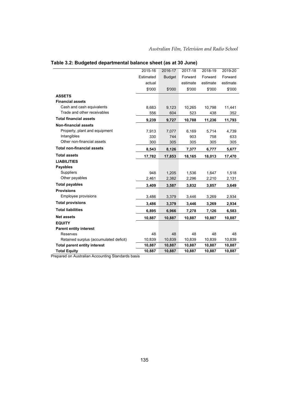|                                        | 2015-16   | 2016-17       | 2017-18  | 2018-19  | 2019-20  |
|----------------------------------------|-----------|---------------|----------|----------|----------|
|                                        | Estimated | <b>Budget</b> | Forward  | Forward  | Forward  |
|                                        | actual    |               | estimate | estimate | estimate |
|                                        | \$'000    | \$'000        | \$'000   | \$'000   | \$'000   |
| <b>ASSETS</b>                          |           |               |          |          |          |
| <b>Financial assets</b>                |           |               |          |          |          |
| Cash and cash equivalents              | 8,683     | 9,123         | 10,265   | 10,798   | 11,441   |
| Trade and other receivables            | 556       | 604           | 523      | 438      | 352      |
| <b>Total financial assets</b>          | 9,239     | 9,727         | 10,788   | 11,236   | 11,793   |
| <b>Non-financial assets</b>            |           |               |          |          |          |
| Property, plant and equipment          | 7,913     | 7,077         | 6,169    | 5,714    | 4,739    |
| Intangibles                            | 330       | 744           | 903      | 758      | 633      |
| Other non-financial assets             | 300       | 305           | 305      | 305      | 305      |
| <b>Total non-financial assets</b>      | 8,543     | 8,126         | 7,377    | 6,777    | 5,677    |
| <b>Total assets</b>                    | 17,782    | 17,853        | 18,165   | 18,013   | 17,470   |
| <b>LIABILITIES</b>                     |           |               |          |          |          |
| <b>Payables</b>                        |           |               |          |          |          |
| <b>Suppliers</b>                       | 948       | 1,205         | 1,536    | 1,647    | 1,518    |
| Other payables                         | 2,461     | 2,382         | 2,296    | 2,210    | 2,131    |
| <b>Total payables</b>                  | 3,409     | 3,587         | 3,832    | 3,857    | 3,649    |
| <b>Provisions</b>                      |           |               |          |          |          |
| Employee provisions                    | 3,486     | 3,379         | 3,446    | 3,269    | 2,934    |
| <b>Total provisions</b>                | 3,486     | 3,379         | 3,446    | 3,269    | 2,934    |
| <b>Total liabilities</b>               | 6,895     | 6,966         | 7,278    | 7,126    | 6,583    |
| <b>Net assets</b>                      | 10,887    | 10,887        | 10,887   | 10,887   | 10,887   |
| <b>EQUITY</b>                          |           |               |          |          |          |
| <b>Parent entity interest</b>          |           |               |          |          |          |
| Reserves                               | 48        | 48            | 48       | 48       | 48       |
| Retained surplus (accumulated deficit) | 10,839    | 10,839        | 10,839   | 10,839   | 10,839   |
| <b>Total parent entity interest</b>    | 10,887    | 10,887        | 10,887   | 10,887   | 10,887   |
| <b>Total Equity</b>                    | 10,887    | 10,887        | 10,887   | 10,887   | 10,887   |

## **Table 3.2: Budgeted departmental balance sheet (as at 30 June)**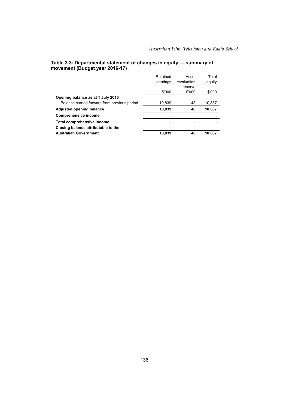|                                              | Retained | Asset       | Total  |
|----------------------------------------------|----------|-------------|--------|
|                                              | earnings | revaluation | equity |
|                                              |          | reserve     |        |
|                                              | \$'000   | \$'000      | \$'000 |
| Opening balance as at 1 July 2016            |          |             |        |
| Balance carried forward from previous period | 10,839   | 48          | 10,887 |
| <b>Adjusted opening balance</b>              | 10,839   | 48          | 10.887 |
| <b>Comprehensive income</b>                  |          |             |        |
| Total comprehensive income                   |          |             |        |
| Closing balance attributable to the          |          |             |        |
| <b>Australian Government</b>                 | 10,839   | 48          | 10,887 |

#### **Table 3.3: Departmental statement of changes in equity — summary of movement (Budget year 2016-17)**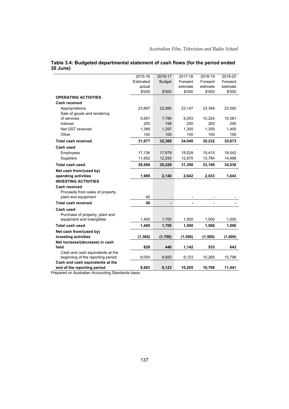|                                   | 2015-16   | 2016-17                  | 2017-18  | 2018-19  | 2019-20  |
|-----------------------------------|-----------|--------------------------|----------|----------|----------|
|                                   | Estimated | <b>Budget</b>            | Forward  | Forward  | Forward  |
|                                   | actual    |                          | estimate | estimate | estimate |
|                                   | \$'000    | \$'000                   | \$'000   | \$'000   | \$'000   |
| <b>OPERATING ACTIVITIES</b>       |           |                          |          |          |          |
| <b>Cash received</b>              |           |                          |          |          |          |
| Appropriations                    | 23,697    | 22,985                   | 23,147   | 23,349   | 23,592   |
| Sale of goods and rendering       |           |                          |          |          |          |
| of services                       | 5,691     | 7,789                    | 9,293    | 10,224   | 10,381   |
| Interest                          | 200       | 198                      | 200      | 200      | 200      |
| Net GST received                  | 1,389     | 1,297                    | 1,300    | 1,359    | 1,400    |
| Other                             | 100       | 100                      | 100      | 100      | 100      |
| <b>Total cash received</b>        | 31,077    | 32,369                   | 34,040   | 35,232   | 35,673   |
| Cash used                         |           |                          |          |          |          |
| Employees                         | 17,136    | 17,979                   | 18,528   | 19,415   | 19,542   |
| <b>Suppliers</b>                  | 11,952    | 12,250                   | 12,870   | 13,784   | 14,488   |
| <b>Total cash used</b>            | 29,088    | 30,229                   | 31,398   | 33,199   | 34,030   |
| Net cash from/(used by)           |           |                          |          |          |          |
| operating activities              | 1,989     | 2,140                    | 2,642    | 2,033    | 1,643    |
| <b>INVESTING ACTIVITIES</b>       |           |                          |          |          |          |
| Cash received                     |           |                          |          |          |          |
| Proceeds from sales of property,  |           |                          |          |          |          |
| plant and equipment               | 40        | $\overline{\phantom{a}}$ |          |          |          |
| <b>Total cash received</b>        | 40        | $\overline{a}$           |          |          |          |
| Cash used                         |           |                          |          |          |          |
| Purchase of property, plant and   |           |                          |          |          |          |
| equipment and intangibles         | 1,400     | 1,700                    | 1,500    | 1,500    | 1,000    |
| <b>Total cash used</b>            | 1,400     | 1,700                    | 1,500    | 1,500    | 1,000    |
| Net cash from/(used by)           |           |                          |          |          |          |
| investing activities              | (1, 360)  | (1,700)                  | (1,500)  | (1,500)  | (1,000)  |
| Net increase/(decrease) in cash   |           |                          |          |          |          |
| held                              | 629       | 440                      | 1,142    | 533      | 643      |
| Cash and cash equivalents at the  |           |                          |          |          |          |
| beginning of the reporting period | 8,054     | 8,683                    | 9,123    | 10,265   | 10,798   |
| Cash and cash equivalents at the  |           |                          |          |          |          |
| end of the reporting period       | 8,683     | 9,123                    | 10,265   | 10,798   | 11,441   |

#### **Table 3.4: Budgeted departmental statement of cash flows (for the period ended 30 June)**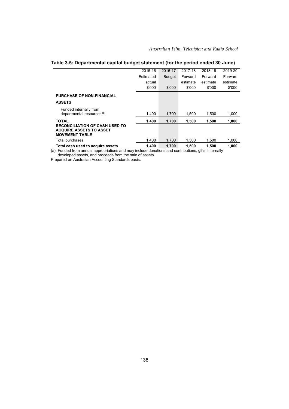|                                                                                                     | 2015-16   | 2016-17       | 2017-18  | 2018-19  | 2019-20  |
|-----------------------------------------------------------------------------------------------------|-----------|---------------|----------|----------|----------|
|                                                                                                     | Estimated | <b>Budget</b> | Forward  | Forward  | Forward  |
|                                                                                                     | actual    |               | estimate | estimate | estimate |
|                                                                                                     | \$'000    | \$'000        | \$'000   | \$'000   | \$'000   |
| <b>PURCHASE OF NON-FINANCIAL</b>                                                                    |           |               |          |          |          |
| <b>ASSETS</b>                                                                                       |           |               |          |          |          |
| Funded internally from                                                                              |           |               |          |          |          |
| departmental resources <sup>(a)</sup>                                                               | 1.400     | 1.700         | 1.500    | 1,500    | 1,000    |
| <b>TOTAL</b>                                                                                        | 1.400     | 1,700         | 1,500    | 1,500    | 1,000    |
| <b>RECONCILIATION OF CASH USED TO</b>                                                               |           |               |          |          |          |
| <b>ACQUIRE ASSETS TO ASSET</b><br><b>MOVEMENT TABLE</b>                                             |           |               |          |          |          |
| Total purchases                                                                                     | 1.400     | 1,700         | 1,500    | 1,500    | 1,000    |
| Total cash used to acquire assets                                                                   | 1.400     | 1.700         | 1.500    | 1.500    | 1.000    |
| a) Eunded from annual appropriations and may include denations and contributions, gifts, internally |           |               |          |          |          |

#### **Table 3.5: Departmental capital budget statement (for the period ended 30 June)**

(a) Funded from annual appropriations and may include donations and contributions, gifts, internally developed assets, and proceeds from the sale of assets.